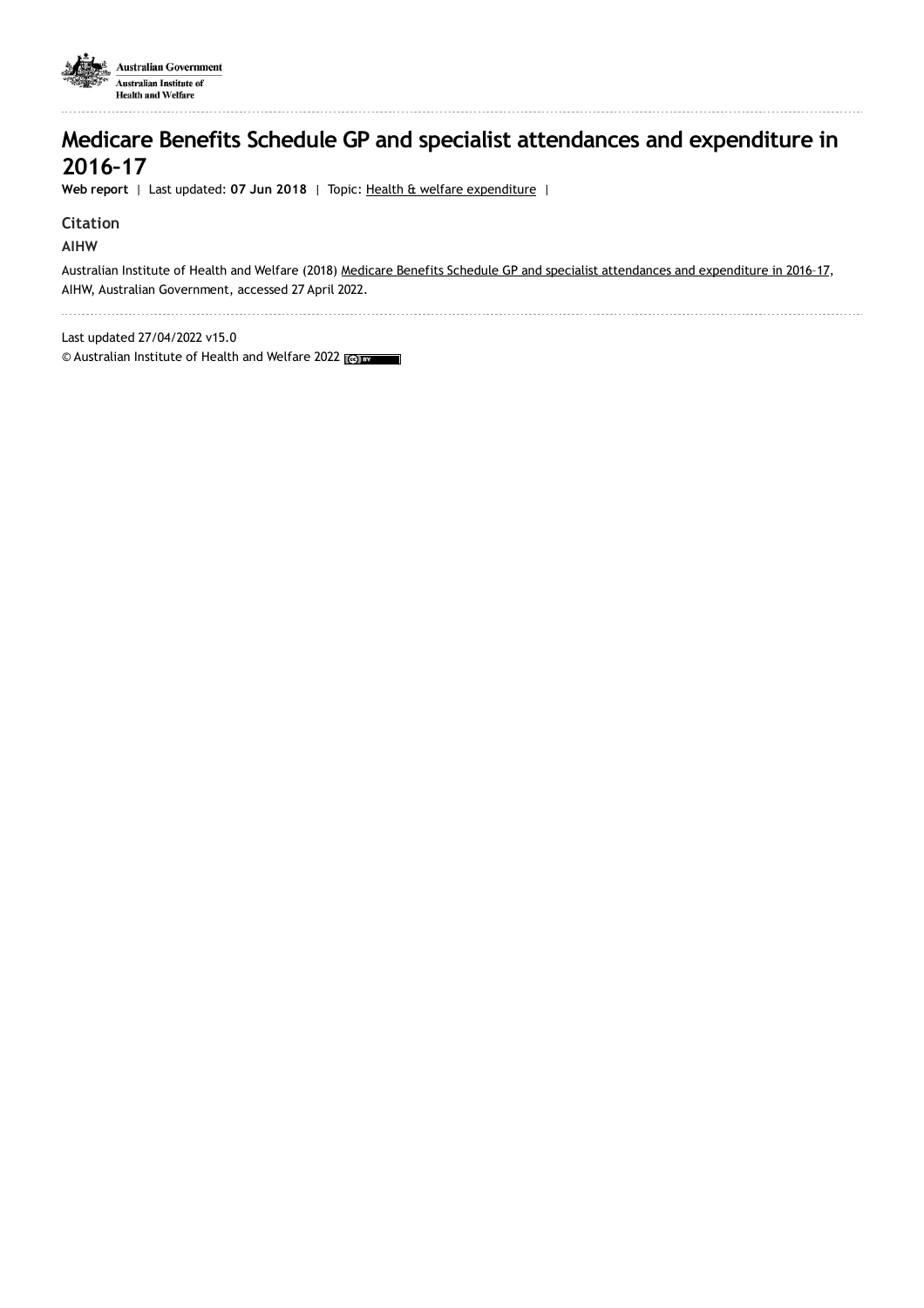

## **Medicare Benefits Schedule GP and specialist attendances and expenditure in 2016–17**

**Web report** | Last updated: **07 Jun 2018** | Topic: Health & welfare [expenditure](https://www.aihw.gov.au/reports-data/health-welfare-overview/health-welfare-expenditure) |

#### **Citation**

**AIHW**

Australian Institute of Health and Welfare (2018) Medicare Benefits Schedule GP and specialist [attendances](https://www.aihw.gov.au/reports/health-welfare-expenditure/mbs-gp-and-specialist-attendances-2016-17) and expenditure in 2016-17, AIHW, Australian Government, accessed 27 April 2022.

Last updated 27/04/2022 v15.0

© Australian Institute of Health and Welfare 2022 (co) BY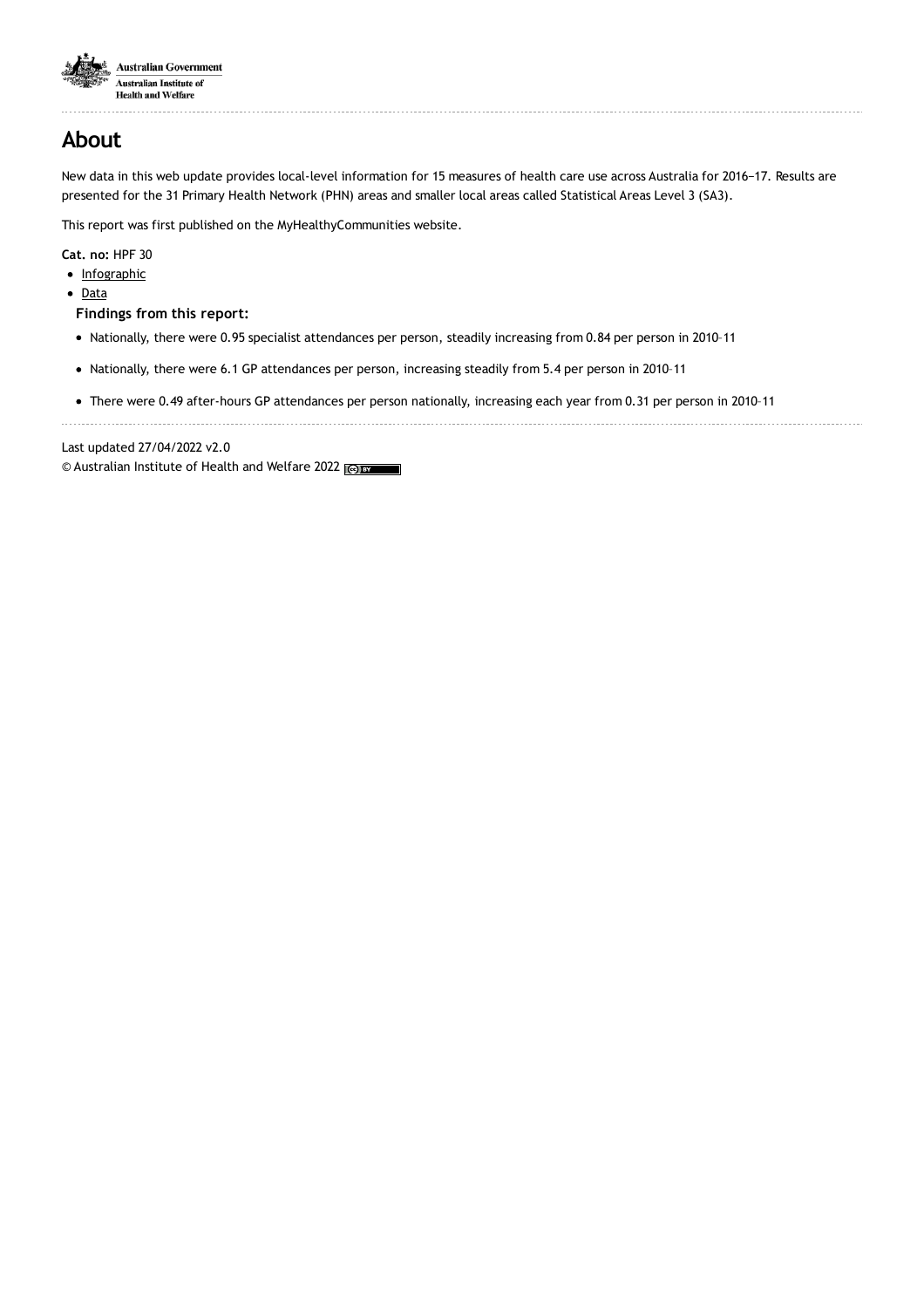

# **About**

New data in this web update provides local-level information for 15 measures of health care use across Australia for 2016−17. Results are presented for the 31 Primary Health Network (PHN) areas and smaller local areas called Statistical Areas Level 3 (SA3).

This report was first published on the MyHealthyCommunities website.

**Cat. no:** HPF 30

- [Infographic](https://www.aihw.gov.au/reports/health-welfare-expenditure/mbs-gp-and-specialist-attendances-2016-17/related-material)
- [Data](https://www.aihw.gov.au/reports/health-welfare-expenditure/mbs-gp-and-specialist-attendances-2016-17/data)

**Findings from this report:**

- Nationally, there were 0.95 specialist attendances per person, steadily increasing from 0.84 per person in 2010–11
- Nationally, there were 6.1 GP attendances per person, increasing steadily from 5.4 per person in 2010-11
- There were 0.49 after-hours GP attendances per person nationally, increasing each year from 0.31 per person in 2010–11

Last updated 27/04/2022 v2.0

© Australian Institute of Health and Welfare 2022 (@)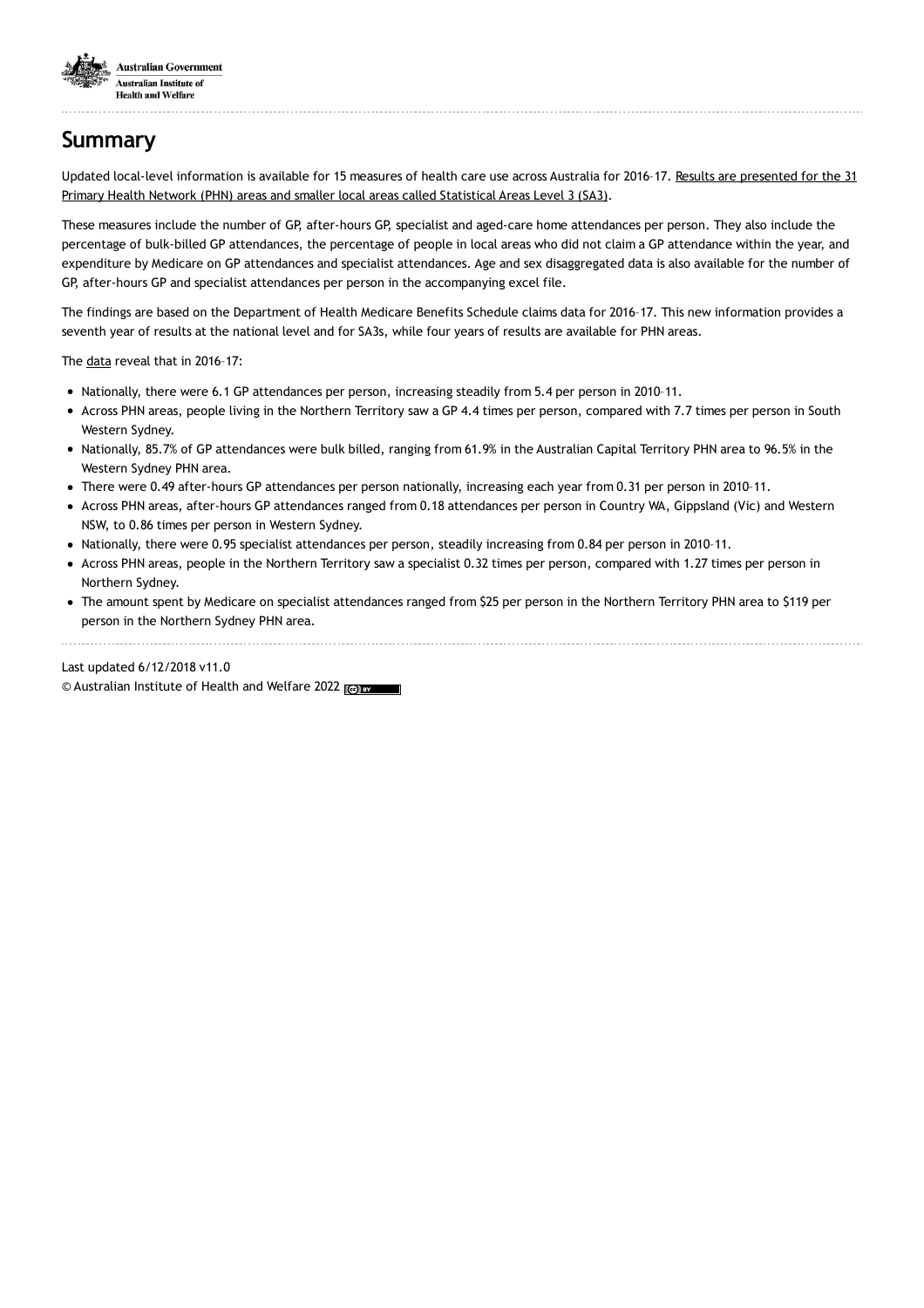

# **Summary**

Updated local-level [information](https://www.aihw.gov.au/reports/health-welfare-expenditure/mbs-gp-and-specialist-attendances-2016-17/data) is available for 15 measures of health care use across Australia for 2016-17. Results are presented for the 31 Primary Health Network (PHN) areas and smaller local areas called Statistical Areas Level 3 (SA3).

These measures include the number of GP, after-hours GP, specialist and aged-care home attendances per person. They also include the percentage of bulk-billed GP attendances, the percentage of people in local areas who did not claim a GP attendance within the year, and expenditure by Medicare on GP attendances and specialist attendances. Age and sex disaggregated data is also available for the number of GP, after-hours GP and specialist attendances per person in the accompanying excel file.

The findings are based on the Department of Health Medicare Benefits Schedule claims data for 2016–17. This new information provides a seventh year of results at the national level and for SA3s, while four years of results are available for PHN areas.

The [data](https://www.aihw.gov.au/reports/health-welfare-expenditure/mbs-gp-and-specialist-attendances-2016-17/data) reveal that in 2016–17:

- Nationally, there were 6.1 GP attendances per person, increasing steadily from 5.4 per person in 2010-11.
- Across PHN areas, people living in the Northern Territory saw a GP 4.4 times per person, compared with 7.7 times per person in South Western Sydney.
- Nationally, 85.7% of GP attendances were bulk billed, ranging from 61.9% in the Australian Capital Territory PHN area to 96.5% in the Western Sydney PHN area.
- There were 0.49 after-hours GP attendances per person nationally, increasing each year from 0.31 per person in 2010–11.
- Across PHN areas, after-hours GP attendances ranged from 0.18 attendances per person in Country WA, Gippsland (Vic) and Western NSW, to 0.86 times per person in Western Sydney.
- Nationally, there were 0.95 specialist attendances per person, steadily increasing from 0.84 per person in 2010-11.
- Across PHN areas, people in the Northern Territory saw a specialist 0.32 times per person, compared with 1.27 times per person in Northern Sydney.
- The amount spent by Medicare on specialist attendances ranged from \$25 per person in the Northern Territory PHN area to \$119 per person in the Northern Sydney PHN area.

#### Last updated 6/12/2018 v11.0

© Australian Institute of Health and Welfare 2022 (Co) BY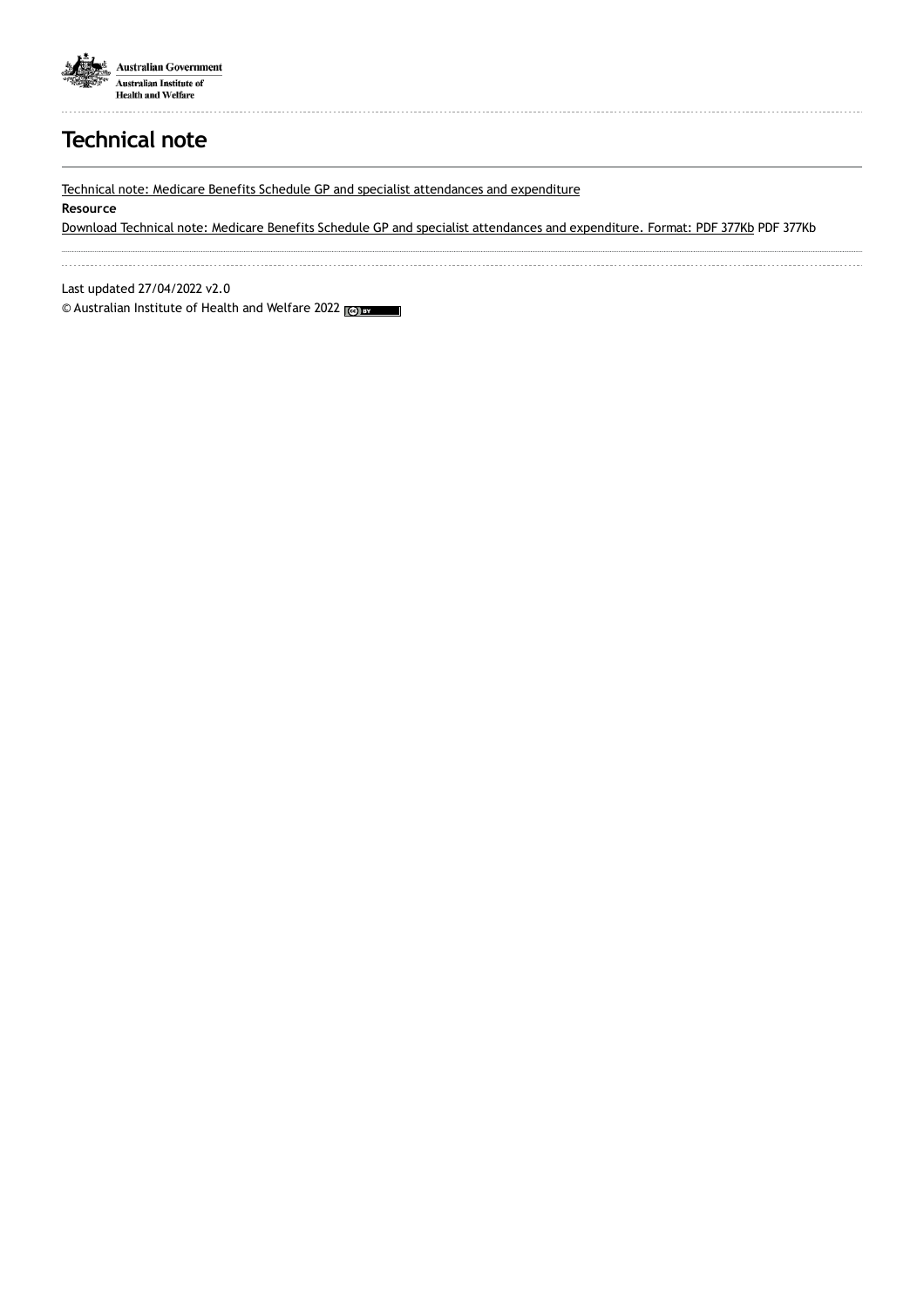

# **Technical note**

Technical note: Medicare Benefits Schedule GP and specialist [attendances](https://www.aihw.gov.au/getmedia/7393c63d-22b7-42c2-a412-7978a8c85e4a/aihw-mhc-hpf-30-MBS-Technical-Note-June-2018.pdf.aspx) and expenditure

#### **Resource**

Download Technical note: Medicare Benefits Schedule GP and specialist attendances and [expenditure.](https://www.aihw.gov.au/getmedia/7393c63d-22b7-42c2-a412-7978a8c85e4a/aihw-mhc-hpf-30-MBS-Technical-Note-June-2018.pdf.aspx) Format: PDF 377Kb PDF 377Kb

Last updated 27/04/2022 v2.0

© Australian Institute of Health and Welfare 2022 (@) BY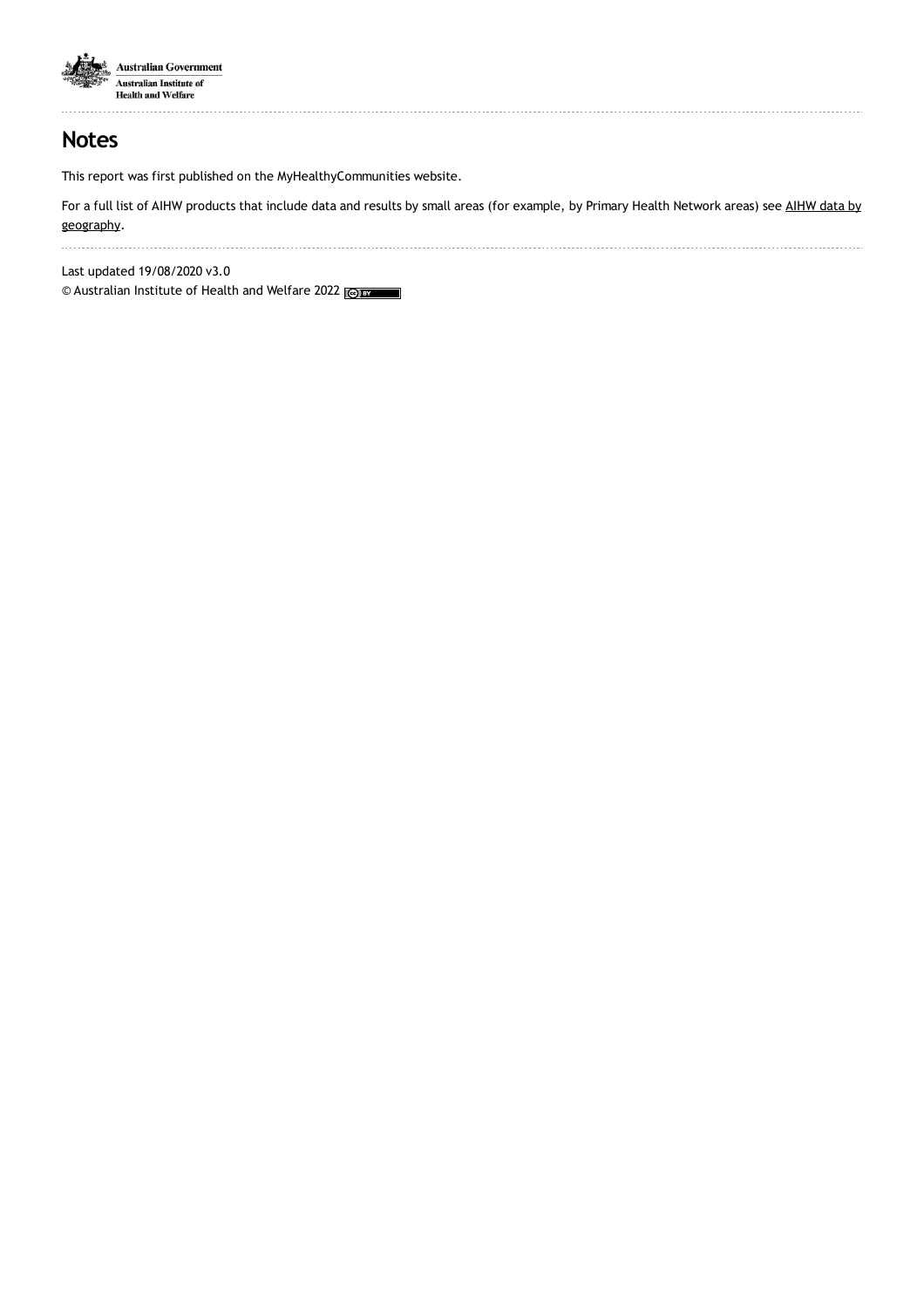

## **Notes**

This report was first published on the MyHealthyCommunities website.

For a full list of AIHW products that include data and results by small areas (for example, by Primary Health Network areas) see AIHW data by [geography.](https://www.aihw.gov.au/about-our-data/aihw-data-by-geography)

Last updated 19/08/2020 v3.0

© Australian Institute of Health and Welfare 2022 (@) BY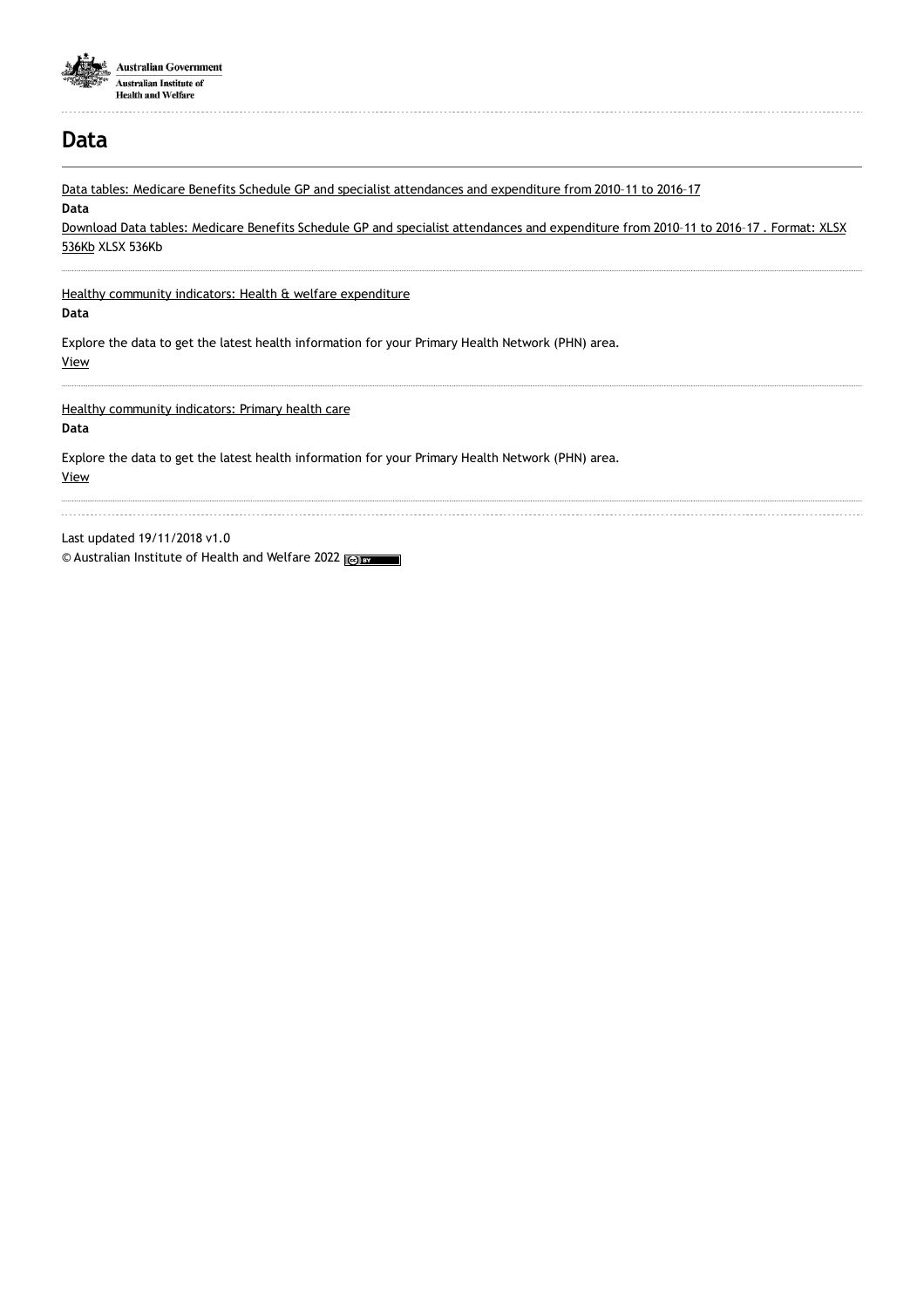

## **Data**

Data tables: Medicare Benefits Schedule GP and specialist [attendances](https://www.aihw.gov.au/getmedia/51638a42-c5e2-4326-8cb4-4db95102ddd9/aihw-mhc-hpf-30-datasheet-report-hc48.xlsx.aspx) and expenditure from 2010–11 to 2016–17 **Data** Download Data tables: Medicare Benefits Schedule GP and specialist [attendances](https://www.aihw.gov.au/getmedia/51638a42-c5e2-4326-8cb4-4db95102ddd9/aihw-mhc-hpf-30-datasheet-report-hc48.xlsx.aspx) and expenditure from 2010–11 to 2016–17 . Format: XLSX 536Kb XLSX 536Kb Healthy community indicators: Health & welfare [expenditure](https://www.aihw.gov.au/reports-data/indicators/healthy-community-indicators/national/all-australia/expenditure/health-welfare-expenditure) **Data** Explore the data to get the latest health information for your Primary Health Network (PHN) area. [View](https://www.aihw.gov.au/reports-data/indicators/healthy-community-indicators/national/all-australia/expenditure/health-welfare-expenditure) Healthy [community](https://www.aihw.gov.au/reports-data/indicators/healthy-community-indicators//national/all-australia/primaryhealthcare/primary-health-care) indicators: Primary health care **Data** Explore the data to get the latest health information for your Primary Health Network (PHN) area. [View](https://www.aihw.gov.au/reports-data/indicators/healthy-community-indicators//national/all-australia/primaryhealthcare/primary-health-care) Last updated 19/11/2018 v1.0

© Australian Institute of Health and Welfare 2022 (@)